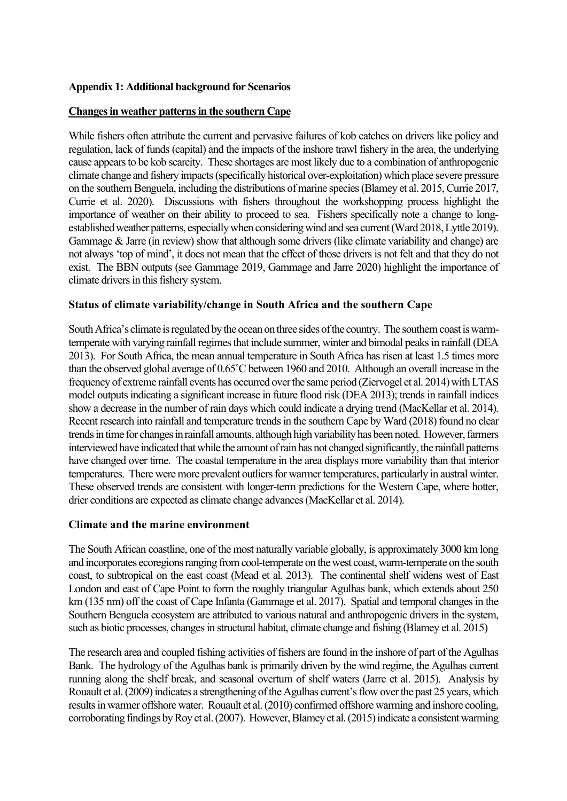## **Appendix 1: Additional background for Scenarios**

### **Changes in weather patterns in the southern Cape**

While fishers often attribute the current and pervasive failures of kob catches on drivers like policy and regulation, lack of funds (capital) and the impacts of the inshore trawl fishery in the area, the underlying cause appears to be kob scarcity. These shortages are most likely due to a combination of anthropogenic climate change and fishery impacts (specifically historical over-exploitation) which place severe pressure on the southern Benguela, including the distributions of marine species(Blamey et al. 2015, Currie 2017, Currie et al. 2020). Discussions with fishers throughout the workshopping process highlight the importance of weather on their ability to proceed to sea. Fishers specifically note a change to longestablished weather patterns, especially when considering wind and sea current (Ward 2018, Lyttle 2019). Gammage & Jarre (in review) show that although some drivers (like climate variability and change) are not always 'top of mind', it does not mean that the effect of those drivers is not felt and that they do not exist. The BBN outputs (see Gammage 2019, Gammage and Jarre 2020) highlight the importance of climate drivers in this fishery system.

## **Status of climate variability/change in South Africa and the southern Cape**

South Africa's climate is regulated by the ocean on three sides of the country. The southern coast is warmtemperate with varying rainfall regimes that include summer, winter and bimodal peaks in rainfall (DEA 2013). For South Africa, the mean annual temperature in South Africa has risen at least 1.5 times more than the observed global average of 0.65˚C between 1960 and 2010. Although an overall increase in the frequency of extreme rainfall events has occurred over the same period (Ziervogel et al. 2014) with LTAS model outputs indicating a significant increase in future flood risk (DEA 2013); trends in rainfall indices show a decrease in the number of rain days which could indicate a drying trend (MacKellar et al. 2014). Recent research into rainfall and temperature trends in the southern Cape by Ward (2018) found no clear trends in time for changes in rainfall amounts, although high variability has been noted. However, farmers interviewed have indicated that while the amount of rain has not changed significantly, the rainfall patterns have changed over time. The coastal temperature in the area displays more variability than that interior temperatures. There were more prevalent outliers for warmer temperatures, particularly in austral winter. These observed trends are consistent with longer-term predictions for the Western Cape, where hotter, drier conditions are expected as climate change advances (MacKellar et al. 2014).

### **Climate and the marine environment**

The South African coastline, one of the most naturally variable globally, is approximately 3000 km long and incorporates ecoregions ranging from cool-temperate on the west coast, warm-temperate on the south coast, to subtropical on the east coast (Mead et al. 2013). The continental shelf widens west of East London and east of Cape Point to form the roughly triangular Agulhas bank, which extends about 250 km (135 nm) off the coast of Cape Infanta (Gammage et al. 2017). Spatial and temporal changes in the Southern Benguela ecosystem are attributed to various natural and anthropogenic drivers in the system, such as biotic processes, changes in structural habitat, climate change and fishing (Blamey et al. 2015)

The research area and coupled fishing activities of fishers are found in the inshore of part of the Agulhas Bank. The hydrology of the Agulhas bank is primarily driven by the wind regime, the Agulhas current running along the shelf break, and seasonal overturn of shelf waters (Jarre et al. 2015). Analysis by Rouault et al. (2009) indicates a strengthening of the Agulhas current's flow over the past 25 years, which results in warmer offshore water. Rouault et al. (2010) confirmed offshore warming and inshore cooling, corroborating findings by Roy et al. (2007). However, Blamey et al. (2015) indicate a consistent warming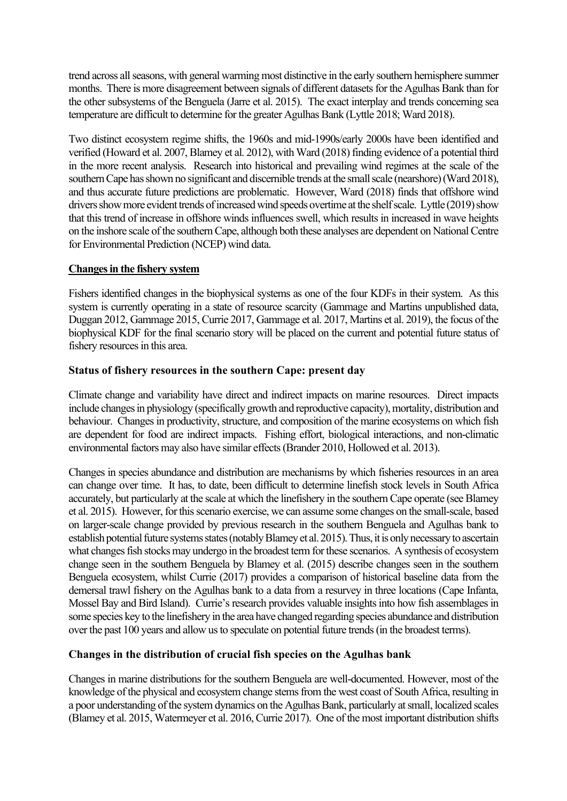trend across all seasons, with general warming most distinctive in the early southern hemisphere summer months. There is more disagreement between signals of different datasets for the Agulhas Bank than for the other subsystems of the Benguela (Jarre et al. 2015). The exact interplay and trends concerning sea temperature are difficult to determine for the greater Agulhas Bank (Lyttle 2018; Ward 2018).

Two distinct ecosystem regime shifts, the 1960s and mid-1990s/early 2000s have been identified and verified (Howard et al. 2007, Blamey et al. 2012), with Ward (2018) finding evidence of a potential third in the more recent analysis. Research into historical and prevailing wind regimes at the scale of the southern Cape has shown no significant and discernible trends at the small scale (nearshore) (Ward 2018), and thus accurate future predictions are problematic. However, Ward (2018) finds that offshore wind drivers show more evident trends of increased wind speeds overtime at the shelf scale. Lyttle (2019) show that this trend of increase in offshore winds influences swell, which results in increased in wave heights on the inshore scale of the southern Cape, although both these analyses are dependent on National Centre for Environmental Prediction (NCEP) wind data.

### **Changes in the fishery system**

Fishers identified changes in the biophysical systems as one of the four KDFs in their system. As this system is currently operating in a state of resource scarcity (Gammage and Martins unpublished data, Duggan 2012, Gammage 2015, Currie 2017, Gammage et al. 2017, Martins et al. 2019), the focus of the biophysical KDF for the final scenario story will be placed on the current and potential future status of fishery resources in this area.

# **Status of fishery resources in the southern Cape: present day**

Climate change and variability have direct and indirect impacts on marine resources. Direct impacts include changes in physiology (specifically growth and reproductive capacity), mortality, distribution and behaviour. Changes in productivity, structure, and composition of the marine ecosystems on which fish are dependent for food are indirect impacts. Fishing effort, biological interactions, and non-climatic environmental factors may also have similar effects (Brander 2010, Hollowed et al. 2013).

Changes in species abundance and distribution are mechanisms by which fisheries resources in an area can change over time. It has, to date, been difficult to determine linefish stock levels in South Africa accurately, but particularly at the scale at which the linefishery in the southern Cape operate (see Blamey et al. 2015). However, for this scenario exercise, we can assume some changes on the small-scale, based on larger-scale change provided by previous research in the southern Benguela and Agulhas bank to establish potential future systems states (notably Blamey et al. 2015). Thus, it is only necessary to ascertain what changes fish stocks may undergo in the broadest term for these scenarios. A synthesis of ecosystem change seen in the southern Benguela by Blamey et al. (2015) describe changes seen in the southern Benguela ecosystem, whilst Currie (2017) provides a comparison of historical baseline data from the demersal trawl fishery on the Agulhas bank to a data from a resurvey in three locations (Cape Infanta, Mossel Bay and Bird Island). Currie's research provides valuable insights into how fish assemblages in some species key to the linefishery in the area have changed regarding species abundance and distribution over the past 100 years and allow us to speculate on potential future trends (in the broadest terms).

# **Changes in the distribution of crucial fish species on the Agulhas bank**

Changes in marine distributions for the southern Benguela are well-documented. However, most of the knowledge of the physical and ecosystem change stems from the west coast of South Africa, resulting in a poor understanding of the system dynamics on the Agulhas Bank, particularly at small, localized scales (Blamey et al. 2015, Watermeyer et al. 2016, Currie 2017). One of the most important distribution shifts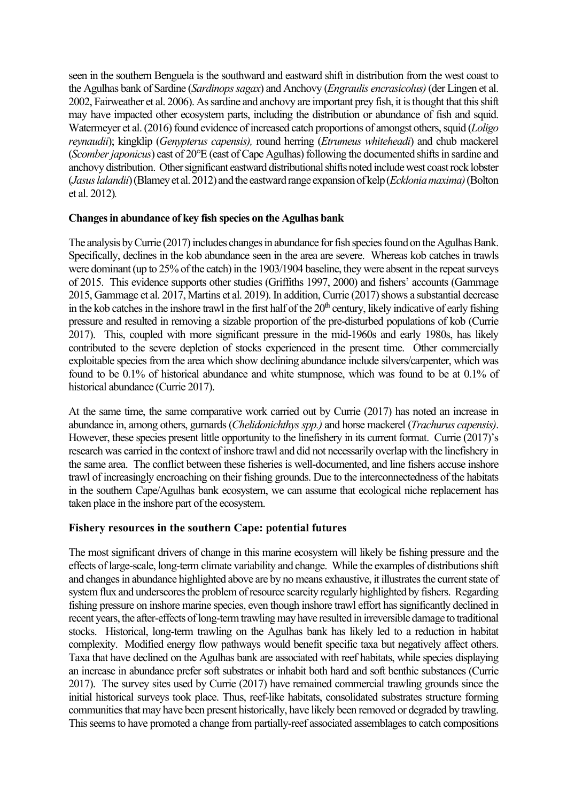seen in the southern Benguela is the southward and eastward shift in distribution from the west coast to the Agulhas bank of Sardine (*Sardinops sagax*) and Anchovy (*Engraulis encrasicolus)* (der Lingen et al. 2002, Fairweather et al. 2006). As sardine and anchovy are important prey fish, it is thought that this shift may have impacted other ecosystem parts, including the distribution or abundance of fish and squid. Watermeyer et al. (2016) found evidence of increased catch proportions of amongst others, squid (*Loligo reynaudii*); kingklip (*Genypterus capensis),* round herring (*Etrumeus whiteheadi*) and chub mackerel (*Scomber japonicus*) east of 20°E (east of Cape Agulhas) following the documented shifts in sardine and anchovy distribution. Other significant eastward distributional shifts noted include west coast rock lobster (*Jasus lalandii*) (Blamey et al. 2012) and the eastward range expansion of kelp (*Ecklonia maxima*) (Bolton et al. 2012)*.*

## **Changes in abundance of key fish species on the Agulhas bank**

The analysis by Currie (2017) includes changes in abundance for fish species found on the Agulhas Bank. Specifically, declines in the kob abundance seen in the area are severe. Whereas kob catches in trawls were dominant (up to 25% of the catch) in the 1903/1904 baseline, they were absent in the repeat surveys of 2015. This evidence supports other studies (Griffiths 1997, 2000) and fishers' accounts (Gammage 2015, Gammage et al. 2017, Martins et al. 2019). In addition,Currie (2017) shows a substantial decrease in the kob catches in the inshore trawl in the first half of the  $20<sup>th</sup>$  century, likely indicative of early fishing pressure and resulted in removing a sizable proportion of the pre-disturbed populations of kob (Currie 2017). This, coupled with more significant pressure in the mid-1960s and early 1980s, has likely contributed to the severe depletion of stocks experienced in the present time. Other commercially exploitable species from the area which show declining abundance include silvers/carpenter, which was found to be 0.1% of historical abundance and white stumpnose, which was found to be at 0.1% of historical abundance (Currie 2017).

At the same time, the same comparative work carried out by Currie (2017) has noted an increase in abundance in, among others, gurnards (*Chelidonichthys spp.)* and horse mackerel (*Trachurus capensis)*. However, these species present little opportunity to the linefishery in its current format. Currie (2017)'s research was carried in the context of inshore trawl and did not necessarily overlap with the linefishery in the same area. The conflict between these fisheries is well-documented, and line fishers accuse inshore trawl of increasingly encroaching on their fishing grounds. Due to the interconnectedness of the habitats in the southern Cape/Agulhas bank ecosystem, we can assume that ecological niche replacement has taken place in the inshore part of the ecosystem.

### **Fishery resources in the southern Cape: potential futures**

The most significant drivers of change in this marine ecosystem will likely be fishing pressure and the effects of large-scale, long-term climate variability and change. While the examples of distributions shift and changes in abundance highlighted above are by no means exhaustive, it illustrates the current state of system flux and underscores the problem of resource scarcity regularly highlighted by fishers. Regarding fishing pressure on inshore marine species, even though inshore trawl effort has significantly declined in recent years, the after-effects of long-term trawling may have resulted in irreversible damage to traditional stocks. Historical, long-term trawling on the Agulhas bank has likely led to a reduction in habitat complexity. Modified energy flow pathways would benefit specific taxa but negatively affect others. Taxa that have declined on the Agulhas bank are associated with reef habitats, while species displaying an increase in abundance prefer soft substrates or inhabit both hard and soft benthic substances (Currie 2017). The survey sites used by Currie (2017) have remained commercial trawling grounds since the initial historical surveys took place. Thus, reef-like habitats, consolidated substrates structure forming communities that may have been present historically, have likely been removed or degraded by trawling. This seems to have promoted a change from partially-reef associated assemblages to catch compositions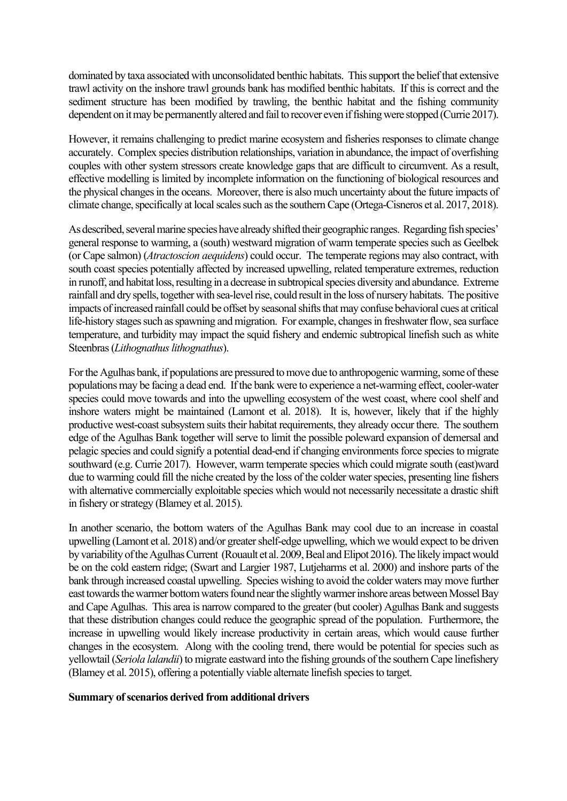dominated by taxa associated with unconsolidated benthic habitats. This support the belief that extensive trawl activity on the inshore trawl grounds bank has modified benthic habitats. If this is correct and the sediment structure has been modified by trawling, the benthic habitat and the fishing community dependent on it may be permanently altered and fail to recover even if fishing were stopped (Currie 2017).

However, it remains challenging to predict marine ecosystem and fisheries responses to climate change accurately. Complex species distribution relationships, variation in abundance, the impact of overfishing couples with other system stressors create knowledge gaps that are difficult to circumvent. As a result, effective modelling is limited by incomplete information on the functioning of biological resources and the physical changes in the oceans. Moreover, there is also much uncertainty about the future impacts of climate change, specifically at local scales such as the southern Cape (Ortega-Cisneros et al. 2017, 2018).

As described, several marine species have already shifted their geographic ranges. Regarding fish species' general response to warming, a (south) westward migration of warm temperate species such as Geelbek (or Cape salmon) (*Atractoscion aequidens*) could occur. The temperate regions may also contract, with south coast species potentially affected by increased upwelling, related temperature extremes, reduction in runoff, and habitat loss, resulting in a decrease in subtropical species diversity and abundance. Extreme rainfall and dry spells, together with sea-level rise, could result in the loss of nursery habitats. The positive impacts of increased rainfall could be offset by seasonal shifts that may confuse behavioral cues at critical life-history stages such as spawning and migration. For example, changes in freshwater flow, sea surface temperature, and turbidity may impact the squid fishery and endemic subtropical linefish such as white Steenbras (*Lithognathus lithognathus*).

For the Agulhas bank, if populations are pressured to move due to anthropogenic warming, some of these populations may be facing a dead end. If the bank were to experience a net-warming effect, cooler-water species could move towards and into the upwelling ecosystem of the west coast, where cool shelf and inshore waters might be maintained (Lamont et al. 2018). It is, however, likely that if the highly productive west-coast subsystem suits their habitat requirements, they already occur there. The southern edge of the Agulhas Bank together will serve to limit the possible poleward expansion of demersal and pelagic species and could signify a potential dead-end if changing environments force species to migrate southward (e.g. Currie 2017). However, warm temperate species which could migrate south (east)ward due to warming could fill the niche created by the loss of the colder water species, presenting line fishers with alternative commercially exploitable species which would not necessarily necessitate a drastic shift in fishery or strategy (Blamey et al. 2015).

In another scenario, the bottom waters of the Agulhas Bank may cool due to an increase in coastal upwelling (Lamont et al. 2018) and/or greater shelf-edge upwelling, which we would expect to be driven by variability of the Agulhas Current (Rouault et al. 2009, Beal and Elipot 2016). The likely impact would be on the cold eastern ridge; (Swart and Largier 1987, Lutjeharms et al. 2000) and inshore parts of the bank through increased coastal upwelling. Species wishing to avoid the colder waters may move further east towards the warmer bottom waters found near the slightly warmer inshore areas between Mossel Bay and Cape Agulhas. This area is narrow compared to the greater (but cooler) Agulhas Bank and suggests that these distribution changes could reduce the geographic spread of the population. Furthermore, the increase in upwelling would likely increase productivity in certain areas, which would cause further changes in the ecosystem. Along with the cooling trend, there would be potential for species such as yellowtail (*Seriola lalandii*) to migrate eastward into the fishing grounds of the southern Cape linefishery (Blamey et al. 2015), offering a potentially viable alternate linefish species to target.

### **Summary of scenarios derived from additional drivers**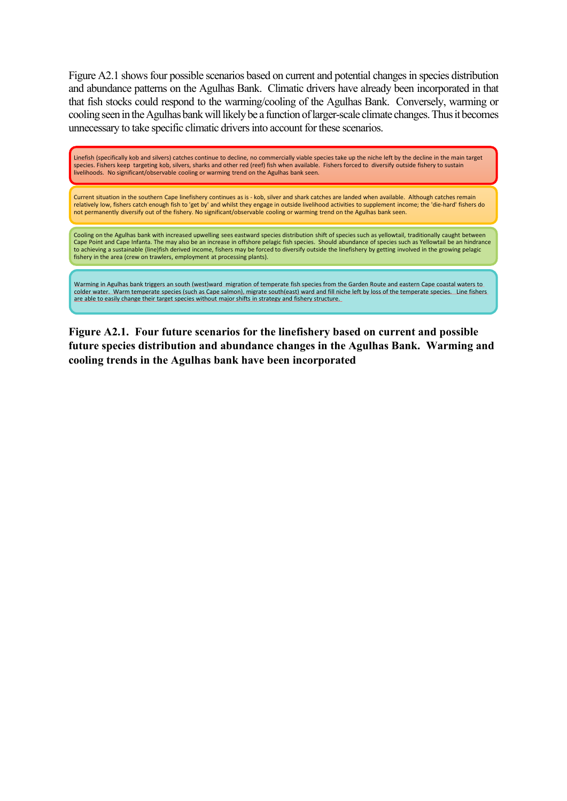Figure A2.1 shows four possible scenarios based on current and potential changes in species distribution and abundance patterns on the Agulhas Bank. Climatic drivers have already been incorporated in that that fish stocks could respond to the warming/cooling of the Agulhas Bank. Conversely, warming or cooling seen in the Agulhas bank will likely be a function of larger-scale climate changes. Thus it becomes unnecessary to take specific climatic drivers into account for these scenarios.

Linefish (specifically kob and silvers) catches continue to decline, no commercially viable species take up the niche left by the decline in the main target species. Fishers keep targeting kob, silvers, sharks and other red (reef) fish when available. Fishers forced to diversify outside fishery to sustain livelihoods. No significant/observable cooling or warming trend on the Agulhas bank seen.

Current situation in the southern Cape linefishery continues as is - kob, silver and shark catches are landed when available. Although catches remain relatively low, fishers catch enough fish to 'get by' and whilst they engage in outside livelihood activities to supplement income; the 'die-hard' fishers do not permanently diversify out of the fishery. No significant/observable cooling or warming trend on the Agulhas bank seen.

Cooling on the Agulhas bank with increased upwelling sees eastward species distribution shift of species such as yellowtail, traditionally caught between Cape Point and Cape Infanta. The may also be an increase in offshore pelagic fish species. Should abundance of species such as Yellowtail be an hindrance to achieving a sustainable (line)fish derived income, fishers may be forced to diversify outside the linefishery by getting involved in the growing pelagic fishery in the area (crew on trawlers, employment at processing plants).

Warming in Agulhas bank triggers an south (west)ward migration of temperate fish species from the Garden Route and eastern Cape coastal waters to colder water. Warm temperate species (such as Cape salmon), migrate south(east) ward and fill niche left by loss of the temperate species. Line fishers are able to easily change their target species without major shifts in strategy and fishery structure.

**Figure A2.1. Four future scenarios for the linefishery based on current and possible future species distribution and abundance changes in the Agulhas Bank. Warming and cooling trends in the Agulhas bank have been incorporated**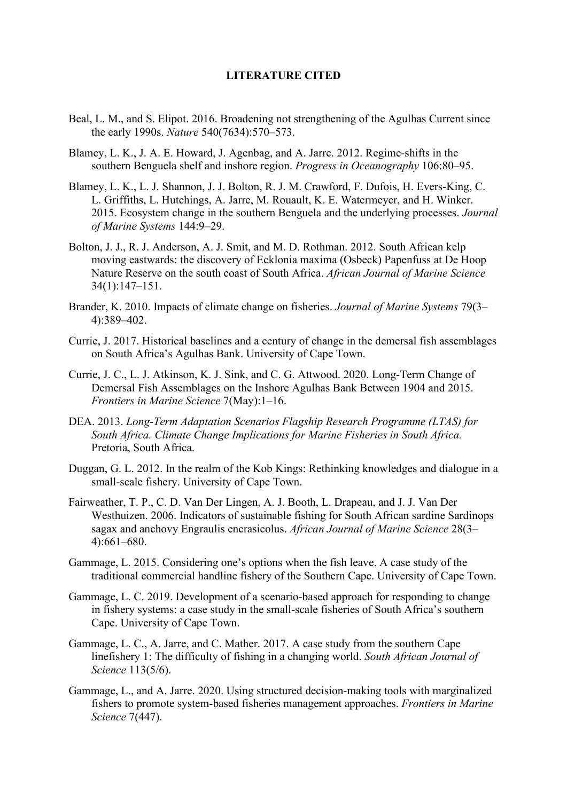### **LITERATURE CITED**

- Beal, L. M., and S. Elipot. 2016. Broadening not strengthening of the Agulhas Current since the early 1990s. *Nature* 540(7634):570–573.
- Blamey, L. K., J. A. E. Howard, J. Agenbag, and A. Jarre. 2012. Regime-shifts in the southern Benguela shelf and inshore region. *Progress in Oceanography* 106:80–95.
- Blamey, L. K., L. J. Shannon, J. J. Bolton, R. J. M. Crawford, F. Dufois, H. Evers-King, C. L. Griffiths, L. Hutchings, A. Jarre, M. Rouault, K. E. Watermeyer, and H. Winker. 2015. Ecosystem change in the southern Benguela and the underlying processes. *Journal of Marine Systems* 144:9–29.
- Bolton, J. J., R. J. Anderson, A. J. Smit, and M. D. Rothman. 2012. South African kelp moving eastwards: the discovery of Ecklonia maxima (Osbeck) Papenfuss at De Hoop Nature Reserve on the south coast of South Africa. *African Journal of Marine Science* 34(1):147–151.
- Brander, K. 2010. Impacts of climate change on fisheries. *Journal of Marine Systems* 79(3– 4):389–402.
- Currie, J. 2017. Historical baselines and a century of change in the demersal fish assemblages on South Africa's Agulhas Bank. University of Cape Town.
- Currie, J. C., L. J. Atkinson, K. J. Sink, and C. G. Attwood. 2020. Long-Term Change of Demersal Fish Assemblages on the Inshore Agulhas Bank Between 1904 and 2015. *Frontiers in Marine Science* 7(May):1–16.
- DEA. 2013. *Long-Term Adaptation Scenarios Flagship Research Programme (LTAS) for South Africa. Climate Change Implications for Marine Fisheries in South Africa.* Pretoria, South Africa.
- Duggan, G. L. 2012. In the realm of the Kob Kings: Rethinking knowledges and dialogue in a small-scale fishery. University of Cape Town.
- Fairweather, T. P., C. D. Van Der Lingen, A. J. Booth, L. Drapeau, and J. J. Van Der Westhuizen. 2006. Indicators of sustainable fishing for South African sardine Sardinops sagax and anchovy Engraulis encrasicolus. *African Journal of Marine Science* 28(3– 4):661–680.
- Gammage, L. 2015. Considering one's options when the fish leave. A case study of the traditional commercial handline fishery of the Southern Cape. University of Cape Town.
- Gammage, L. C. 2019. Development of a scenario-based approach for responding to change in fishery systems: a case study in the small-scale fisheries of South Africa's southern Cape. University of Cape Town.
- Gammage, L. C., A. Jarre, and C. Mather. 2017. A case study from the southern Cape linefishery 1: The difficulty of fishing in a changing world. *South African Journal of Science* 113(5/6).
- Gammage, L., and A. Jarre. 2020. Using structured decision-making tools with marginalized fishers to promote system-based fisheries management approaches. *Frontiers in Marine Science* 7(447).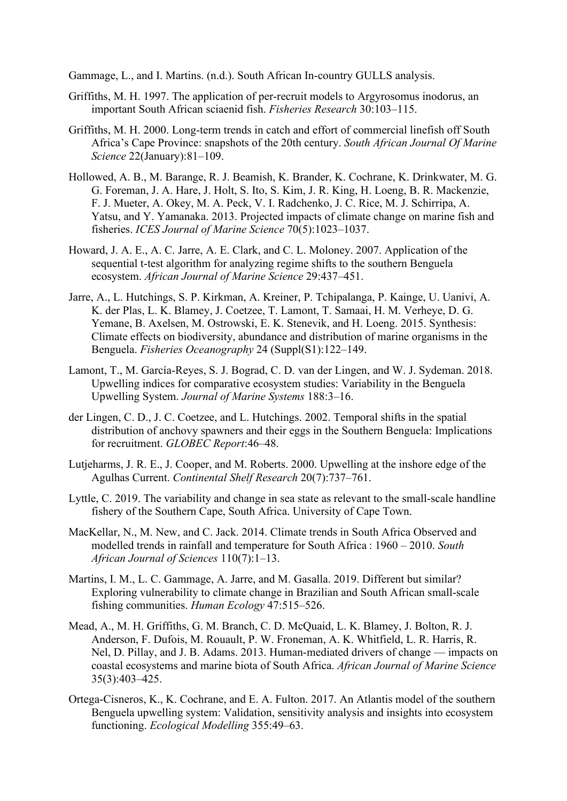Gammage, L., and I. Martins. (n.d.). South African In-country GULLS analysis.

- Griffiths, M. H. 1997. The application of per-recruit models to Argyrosomus inodorus, an important South African sciaenid fish. *Fisheries Research* 30:103–115.
- Griffiths, M. H. 2000. Long-term trends in catch and effort of commercial linefish off South Africa's Cape Province: snapshots of the 20th century. *South African Journal Of Marine Science* 22(January):81–109.
- Hollowed, A. B., M. Barange, R. J. Beamish, K. Brander, K. Cochrane, K. Drinkwater, M. G. G. Foreman, J. A. Hare, J. Holt, S. Ito, S. Kim, J. R. King, H. Loeng, B. R. Mackenzie, F. J. Mueter, A. Okey, M. A. Peck, V. I. Radchenko, J. C. Rice, M. J. Schirripa, A. Yatsu, and Y. Yamanaka. 2013. Projected impacts of climate change on marine fish and fisheries. *ICES Journal of Marine Science* 70(5):1023–1037.
- Howard, J. A. E., A. C. Jarre, A. E. Clark, and C. L. Moloney. 2007. Application of the sequential t-test algorithm for analyzing regime shifts to the southern Benguela ecosystem. *African Journal of Marine Science* 29:437–451.
- Jarre, A., L. Hutchings, S. P. Kirkman, A. Kreiner, P. Tchipalanga, P. Kainge, U. Uanivi, A. K. der Plas, L. K. Blamey, J. Coetzee, T. Lamont, T. Samaai, H. M. Verheye, D. G. Yemane, B. Axelsen, M. Ostrowski, E. K. Stenevik, and H. Loeng. 2015. Synthesis: Climate effects on biodiversity, abundance and distribution of marine organisms in the Benguela. *Fisheries Oceanography* 24 (Suppl(S1):122–149.
- Lamont, T., M. García-Reyes, S. J. Bograd, C. D. van der Lingen, and W. J. Sydeman. 2018. Upwelling indices for comparative ecosystem studies: Variability in the Benguela Upwelling System. *Journal of Marine Systems* 188:3–16.
- der Lingen, C. D., J. C. Coetzee, and L. Hutchings. 2002. Temporal shifts in the spatial distribution of anchovy spawners and their eggs in the Southern Benguela: Implications for recruitment. *GLOBEC Report*:46–48.
- Lutjeharms, J. R. E., J. Cooper, and M. Roberts. 2000. Upwelling at the inshore edge of the Agulhas Current. *Continental Shelf Research* 20(7):737–761.
- Lyttle, C. 2019. The variability and change in sea state as relevant to the small-scale handline fishery of the Southern Cape, South Africa. University of Cape Town.
- MacKellar, N., M. New, and C. Jack. 2014. Climate trends in South Africa Observed and modelled trends in rainfall and temperature for South Africa : 1960 – 2010. *South African Journal of Sciences* 110(7):1–13.
- Martins, I. M., L. C. Gammage, A. Jarre, and M. Gasalla. 2019. Different but similar? Exploring vulnerability to climate change in Brazilian and South African small-scale fishing communities. *Human Ecology* 47:515–526.
- Mead, A., M. H. Griffiths, G. M. Branch, C. D. McQuaid, L. K. Blamey, J. Bolton, R. J. Anderson, F. Dufois, M. Rouault, P. W. Froneman, A. K. Whitfield, L. R. Harris, R. Nel, D. Pillay, and J. B. Adams. 2013. Human-mediated drivers of change — impacts on coastal ecosystems and marine biota of South Africa. *African Journal of Marine Science* 35(3):403–425.
- Ortega-Cisneros, K., K. Cochrane, and E. A. Fulton. 2017. An Atlantis model of the southern Benguela upwelling system: Validation, sensitivity analysis and insights into ecosystem functioning. *Ecological Modelling* 355:49–63.